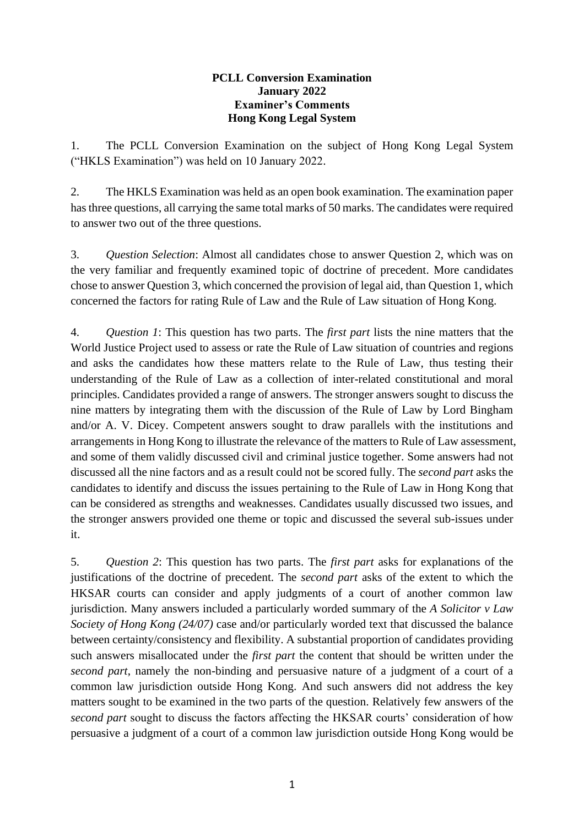## **PCLL Conversion Examination January 2022 Examiner's Comments Hong Kong Legal System**

1. The PCLL Conversion Examination on the subject of Hong Kong Legal System ("HKLS Examination") was held on 10 January 2022.

2. The HKLS Examination was held as an open book examination. The examination paper hasthree questions, all carrying the same total marks of 50 marks. The candidates were required to answer two out of the three questions.

3. *Question Selection*: Almost all candidates chose to answer Question 2, which was on the very familiar and frequently examined topic of doctrine of precedent. More candidates chose to answer Question 3, which concerned the provision of legal aid, than Question 1, which concerned the factors for rating Rule of Law and the Rule of Law situation of Hong Kong.

4. *Question 1*: This question has two parts. The *first part* lists the nine matters that the World Justice Project used to assess or rate the Rule of Law situation of countries and regions and asks the candidates how these matters relate to the Rule of Law, thus testing their understanding of the Rule of Law as a collection of inter-related constitutional and moral principles. Candidates provided a range of answers. The stronger answers sought to discuss the nine matters by integrating them with the discussion of the Rule of Law by Lord Bingham and/or A. V. Dicey. Competent answers sought to draw parallels with the institutions and arrangements in Hong Kong to illustrate the relevance of the matters to Rule of Law assessment, and some of them validly discussed civil and criminal justice together. Some answers had not discussed all the nine factors and as a result could not be scored fully. The *second part* asks the candidates to identify and discuss the issues pertaining to the Rule of Law in Hong Kong that can be considered as strengths and weaknesses. Candidates usually discussed two issues, and the stronger answers provided one theme or topic and discussed the several sub-issues under it.

5. *Question 2*: This question has two parts. The *first part* asks for explanations of the justifications of the doctrine of precedent. The *second part* asks of the extent to which the HKSAR courts can consider and apply judgments of a court of another common law jurisdiction. Many answers included a particularly worded summary of the *A Solicitor v Law Society of Hong Kong (24/07)* case and/or particularly worded text that discussed the balance between certainty/consistency and flexibility. A substantial proportion of candidates providing such answers misallocated under the *first part* the content that should be written under the *second part*, namely the non-binding and persuasive nature of a judgment of a court of a common law jurisdiction outside Hong Kong. And such answers did not address the key matters sought to be examined in the two parts of the question. Relatively few answers of the *second part* sought to discuss the factors affecting the HKSAR courts' consideration of how persuasive a judgment of a court of a common law jurisdiction outside Hong Kong would be